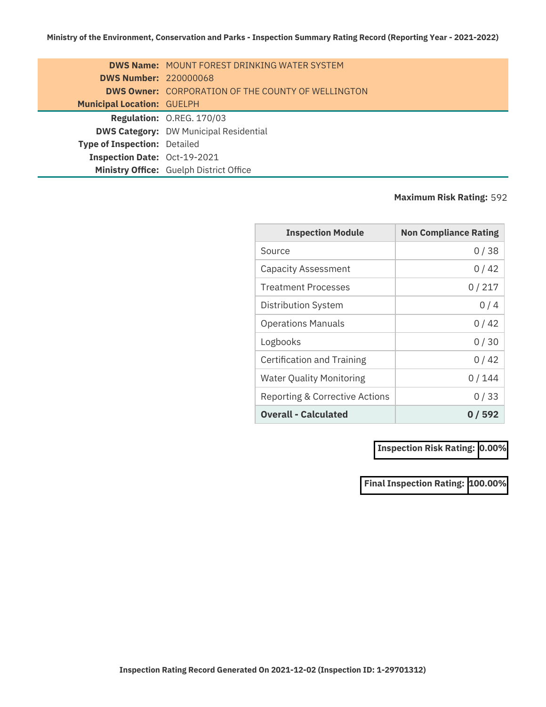|                                     | <b>DWS Name: MOUNT FOREST DRINKING WATER SYSTEM</b>       |
|-------------------------------------|-----------------------------------------------------------|
| <b>DWS Number: 220000068</b>        |                                                           |
|                                     | <b>DWS Owner:</b> CORPORATION OF THE COUNTY OF WELLINGTON |
| <b>Municipal Location: GUELPH</b>   |                                                           |
|                                     | Regulation: O.REG. 170/03                                 |
|                                     | <b>DWS Category: DW Municipal Residential</b>             |
| <b>Type of Inspection: Detailed</b> |                                                           |
| Inspection Date: Oct-19-2021        |                                                           |
|                                     | Ministry Office: Guelph District Office                   |

## **Maximum Risk Rating:** 592

| <b>Inspection Module</b>        | <b>Non Compliance Rating</b> |
|---------------------------------|------------------------------|
| Source                          | 0/38                         |
| <b>Capacity Assessment</b>      | 0/42                         |
| <b>Treatment Processes</b>      | 0/217                        |
| <b>Distribution System</b>      | 0/4                          |
| <b>Operations Manuals</b>       | 0/42                         |
| Logbooks                        | 0/30                         |
| Certification and Training      | 0 / 42                       |
| <b>Water Quality Monitoring</b> | 0/144                        |
| Reporting & Corrective Actions  | 0/33                         |
| <b>Overall - Calculated</b>     | 0 / 592                      |

**Inspection Risk Rating: 0.00%**

**Final Inspection Rating: 100.00%**